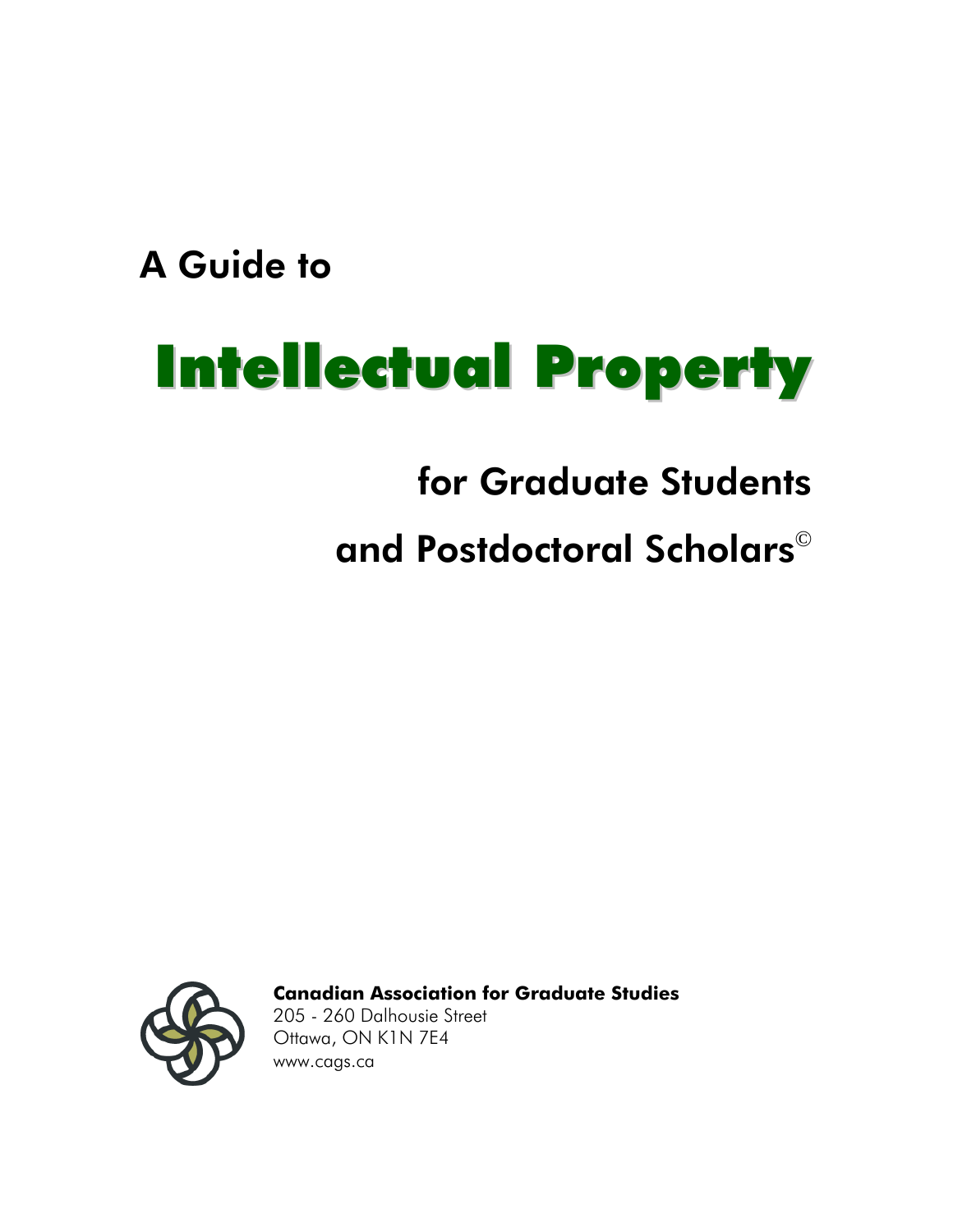A Guide to

# Intellectual Property

## for Graduate Students

# and Postdoctoral Scholars©



**Canadian Association for Graduate Studies**

205 - 260 Dalhousie Street Ottawa, ON K1N 7E4 [www.cags.ca](http://www.cags.ca)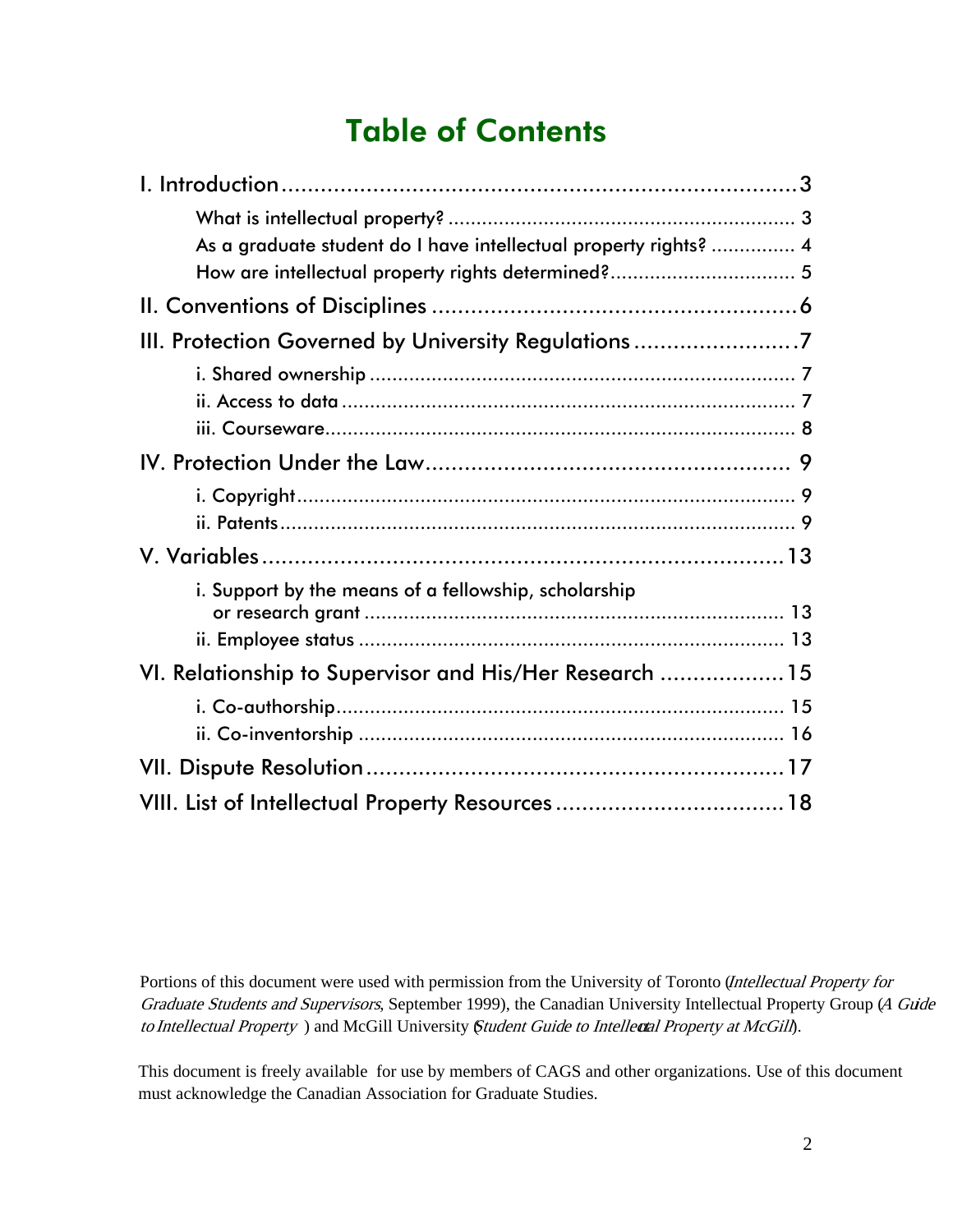#### Table of Contents

| As a graduate student do I have intellectual property rights?  4 |  |
|------------------------------------------------------------------|--|
| How are intellectual property rights determined? 5               |  |
|                                                                  |  |
| III. Protection Governed by University Regulations 7             |  |
|                                                                  |  |
|                                                                  |  |
|                                                                  |  |
|                                                                  |  |
|                                                                  |  |
|                                                                  |  |
|                                                                  |  |
| i. Support by the means of a fellowship, scholarship             |  |
|                                                                  |  |
|                                                                  |  |
| VI. Relationship to Supervisor and His/Her Research  15          |  |
|                                                                  |  |
|                                                                  |  |
|                                                                  |  |
| VIII. List of Intellectual Property Resources 18                 |  |

Portions of this document were used with permission from the University of Toronto (Intellectual Property for Graduate Students and Supervisors, September 1999), the Canadian University Intellectual Property Group (A Guide to Intellectual Property ) and McGill University *Student Guide to Intellectal Property at McGill*).

This document is freely available for use by members of CAGS and other organizations. Use of this document must acknowledge the Canadian Association for Graduate Studies.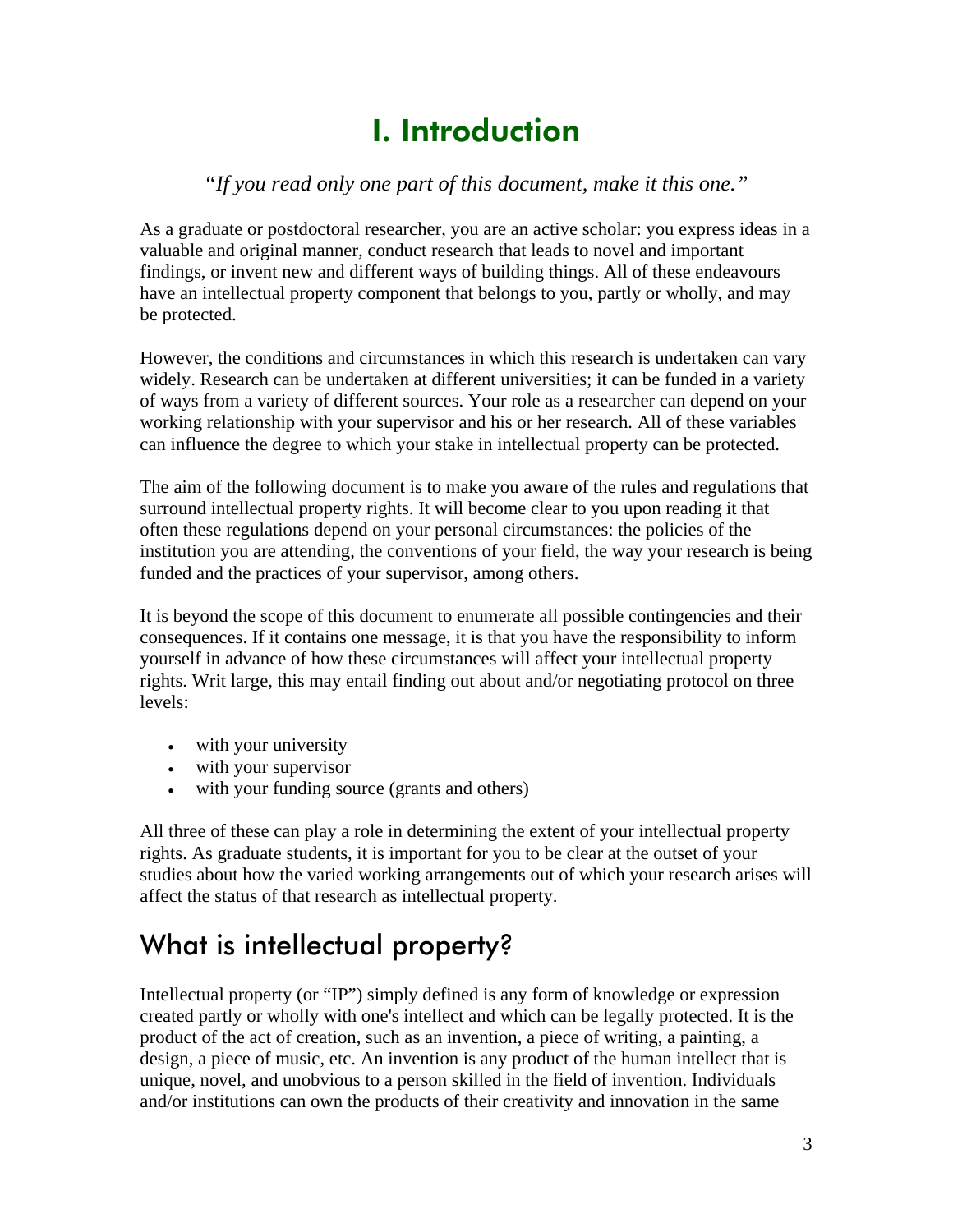### I. Introduction

#### *"If you read only one part of this document, make it this one."*

<span id="page-2-0"></span>As a graduate or postdoctoral researcher, you are an active scholar: you express ideas in a valuable and original manner, conduct research that leads to novel and important findings, or invent new and different ways of building things. All of these endeavours have an intellectual property component that belongs to you, partly or wholly, and may be protected.

However, the conditions and circumstances in which this research is undertaken can vary widely. Research can be undertaken at different universities; it can be funded in a variety of ways from a variety of different sources. Your role as a researcher can depend on your working relationship with your supervisor and his or her research. All of these variables can influence the degree to which your stake in intellectual property can be protected.

The aim of the following document is to make you aware of the rules and regulations that surround intellectual property rights. It will become clear to you upon reading it that often these regulations depend on your personal circumstances: the policies of the institution you are attending, the conventions of your field, the way your research is being funded and the practices of your supervisor, among others.

It is beyond the scope of this document to enumerate all possible contingencies and their consequences. If it contains one message, it is that you have the responsibility to inform yourself in advance of how these circumstances will affect your intellectual property rights. Writ large, this may entail finding out about and/or negotiating protocol on three levels:

- with your university
- with your supervisor
- with your funding source (grants and others)

All three of these can play a role in determining the extent of your intellectual property rights. As graduate students, it is important for you to be clear at the outset of your studies about how the varied working arrangements out of which your research arises will affect the status of that research as intellectual property.

#### What is intellectual property?

Intellectual property (or "IP") simply defined is any form of knowledge or expression created partly or wholly with one's intellect and which can be legally protected. It is the product of the act of creation, such as an invention, a piece of writing, a painting, a design, a piece of music, etc. An invention is any product of the human intellect that is unique, novel, and unobvious to a person skilled in the field of invention. Individuals and/or institutions can own the products of their creativity and innovation in the same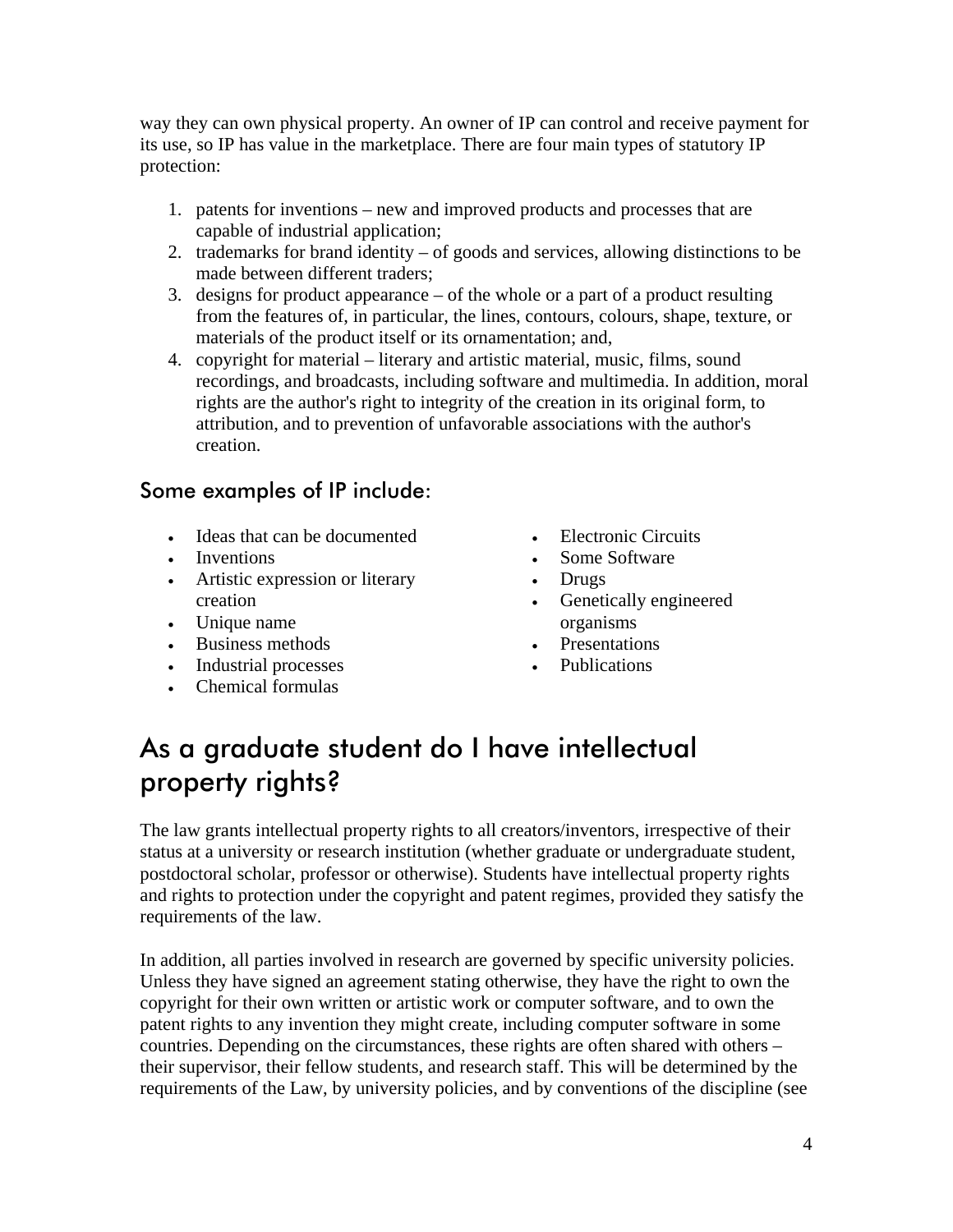<span id="page-3-0"></span>way they can own physical property. An owner of IP can control and receive payment for its use, so IP has value in the marketplace. There are four main types of statutory IP protection:

- 1. patents for inventions new and improved products and processes that are capable of industrial application;
- 2. trademarks for brand identity of goods and services, allowing distinctions to be made between different traders;
- 3. designs for product appearance of the whole or a part of a product resulting from the features of, in particular, the lines, contours, colours, shape, texture, or materials of the product itself or its ornamentation; and,
- 4. copyright for material literary and artistic material, music, films, sound recordings, and broadcasts, including software and multimedia. In addition, moral rights are the author's right to integrity of the creation in its original form, to attribution, and to prevention of unfavorable associations with the author's creation.

#### Some examples of IP include:

- Ideas that can be documented
- Inventions
- Artistic expression or literary creation
- Unique name
- Business methods
- Industrial processes
- Chemical formulas
- Electronic Circuits
- Some Software
- Drugs
- Genetically engineered organisms
- **Presentations**
- Publications

#### As a graduate student do I have intellectual property rights?

The law grants intellectual property rights to all creators/inventors, irrespective of their status at a university or research institution (whether graduate or undergraduate student, postdoctoral scholar, professor or otherwise). Students have intellectual property rights and rights to protection under the copyright and patent regimes, provided they satisfy the requirements of the law.

In addition, all parties involved in research are governed by specific university policies. Unless they have signed an agreement stating otherwise, they have the right to own the copyright for their own written or artistic work or computer software, and to own the patent rights to any invention they might create, including computer software in some countries. Depending on the circumstances, these rights are often shared with others – their supervisor, their fellow students, and research staff. This will be determined by the requirements of the Law, by university policies, and by conventions of the discipline (see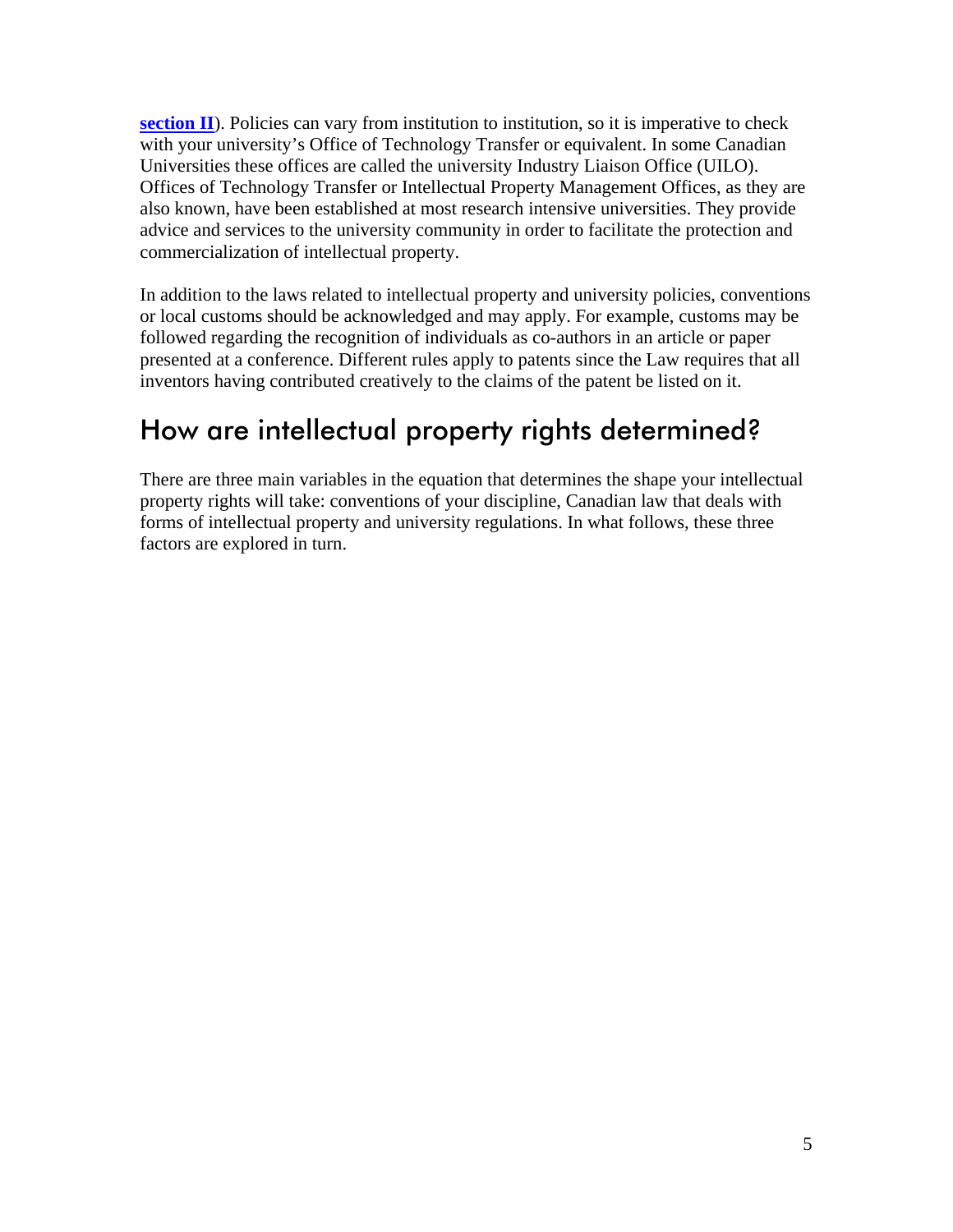<span id="page-4-0"></span>**[section II](#page-5-0)**). Policies can vary from institution to institution, so it is imperative to check with your university's Office of Technology Transfer or equivalent. In some Canadian Universities these offices are called the university Industry Liaison Office (UILO). Offices of Technology Transfer or Intellectual Property Management Offices, as they are also known, have been established at most research intensive universities. They provide advice and services to the university community in order to facilitate the protection and commercialization of intellectual property.

In addition to the laws related to intellectual property and university policies, conventions or local customs should be acknowledged and may apply. For example, customs may be followed regarding the recognition of individuals as co-authors in an article or paper presented at a conference. Different rules apply to patents since the Law requires that all inventors having contributed creatively to the claims of the patent be listed on it.

#### How are intellectual property rights determined?

There are three main variables in the equation that determines the shape your intellectual property rights will take: conventions of your discipline, Canadian law that deals with forms of intellectual property and university regulations. In what follows, these three factors are explored in turn.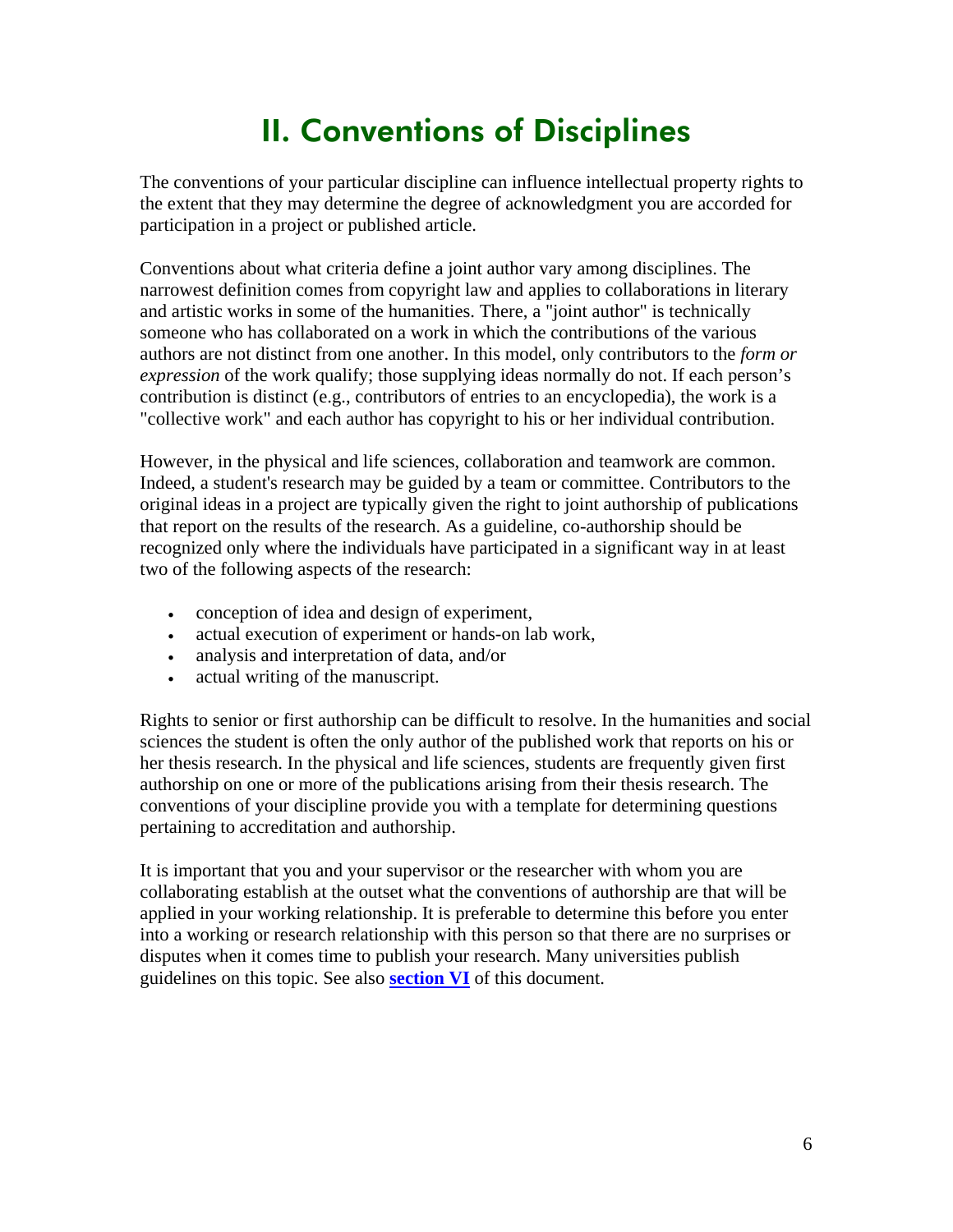### II. Conventions of Disciplines

<span id="page-5-0"></span>The conventions of your particular discipline can influence intellectual property rights to the extent that they may determine the degree of acknowledgment you are accorded for participation in a project or published article.

Conventions about what criteria define a joint author vary among disciplines. The narrowest definition comes from copyright law and applies to collaborations in literary and artistic works in some of the humanities. There, a "joint author" is technically someone who has collaborated on a work in which the contributions of the various authors are not distinct from one another. In this model, only contributors to the *form or expression* of the work qualify; those supplying ideas normally do not. If each person's contribution is distinct (e.g., contributors of entries to an encyclopedia), the work is a "collective work" and each author has copyright to his or her individual contribution.

However, in the physical and life sciences, collaboration and teamwork are common. Indeed, a student's research may be guided by a team or committee. Contributors to the original ideas in a project are typically given the right to joint authorship of publications that report on the results of the research. As a guideline, co-authorship should be recognized only where the individuals have participated in a significant way in at least two of the following aspects of the research:

- conception of idea and design of experiment,
- actual execution of experiment or hands-on lab work,
- analysis and interpretation of data, and/or
- actual writing of the manuscript.

Rights to senior or first authorship can be difficult to resolve. In the humanities and social sciences the student is often the only author of the published work that reports on his or her thesis research. In the physical and life sciences, students are frequently given first authorship on one or more of the publications arising from their thesis research. The conventions of your discipline provide you with a template for determining questions pertaining to accreditation and authorship.

It is important that you and your supervisor or the researcher with whom you are collaborating establish at the outset what the conventions of authorship are that will be applied in your working relationship. It is preferable to determine this before you enter into a working or research relationship with this person so that there are no surprises or disputes when it comes time to publish your research. Many universities publish guidelines on this topic. See also **[section VI](#page-8-0)** of this document.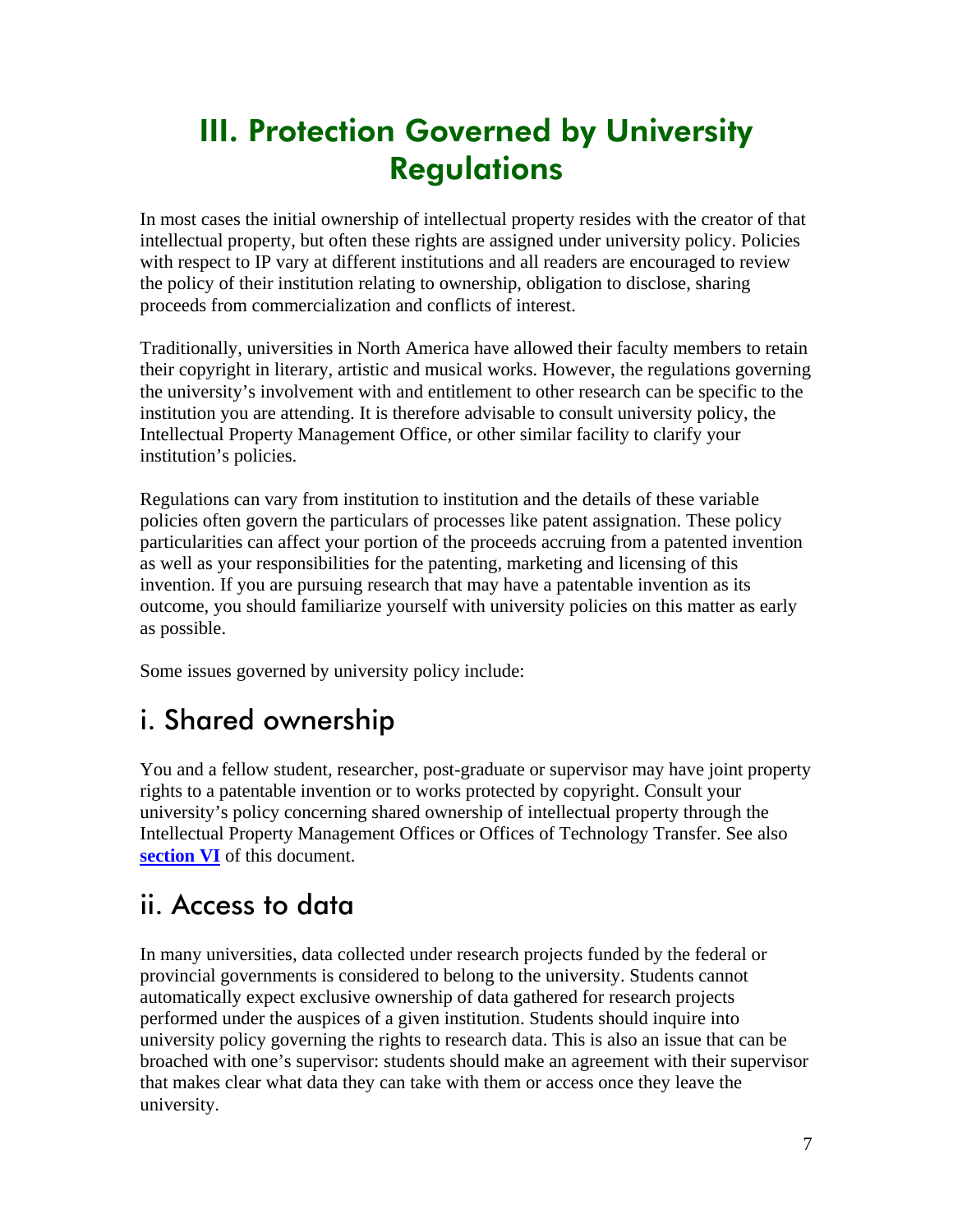### <span id="page-6-0"></span>III. Protection Governed by University **Regulations**

In most cases the initial ownership of intellectual property resides with the creator of that intellectual property, but often these rights are assigned under university policy. Policies with respect to IP vary at different institutions and all readers are encouraged to review the policy of their institution relating to ownership, obligation to disclose, sharing proceeds from commercialization and conflicts of interest.

Traditionally, universities in North America have allowed their faculty members to retain their copyright in literary, artistic and musical works. However, the regulations governing the university's involvement with and entitlement to other research can be specific to the institution you are attending. It is therefore advisable to consult university policy, the Intellectual Property Management Office, or other similar facility to clarify your institution's policies.

Regulations can vary from institution to institution and the details of these variable policies often govern the particulars of processes like patent assignation. These policy particularities can affect your portion of the proceeds accruing from a patented invention as well as your responsibilities for the patenting, marketing and licensing of this invention. If you are pursuing research that may have a patentable invention as its outcome, you should familiarize yourself with university policies on this matter as early as possible.

Some issues governed by university policy include:

#### i. Shared ownership

You and a fellow student, researcher, post-graduate or supervisor may have joint property rights to a patentable invention or to works protected by copyright. Consult your university's policy concerning shared ownership of intellectual property through the Intellectual Property Management Offices or Offices of Technology Transfer. See also **[section VI](#page-14-0)** of this document.

#### ii. Access to data

In many universities, data collected under research projects funded by the federal or provincial governments is considered to belong to the university. Students cannot automatically expect exclusive ownership of data gathered for research projects performed under the auspices of a given institution. Students should inquire into university policy governing the rights to research data. This is also an issue that can be broached with one's supervisor: students should make an agreement with their supervisor that makes clear what data they can take with them or access once they leave the university.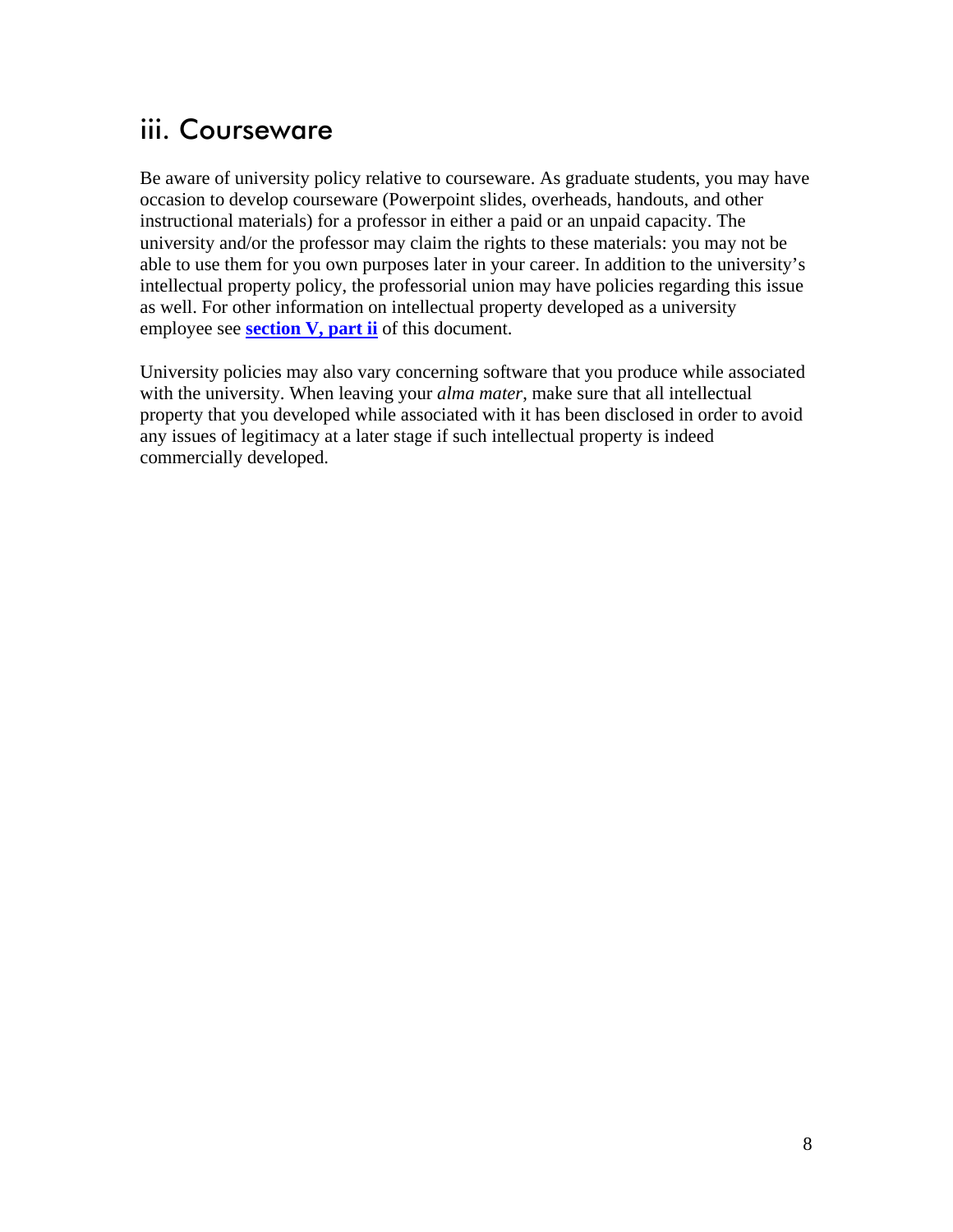#### <span id="page-7-0"></span>iii. Courseware

Be aware of university policy relative to courseware. As graduate students, you may have occasion to develop courseware (Powerpoint slides, overheads, handouts, and other instructional materials) for a professor in either a paid or an unpaid capacity. The university and/or the professor may claim the rights to these materials: you may not be able to use them for you own purposes later in your career. In addition to the university's intellectual property policy, the professorial union may have policies regarding this issue as well. For other information on intellectual property developed as a university employee see **[section V, part ii](#page-12-0)** of this document.

University policies may also vary concerning software that you produce while associated with the university. When leaving your *alma mater*, make sure that all intellectual property that you developed while associated with it has been disclosed in order to avoid any issues of legitimacy at a later stage if such intellectual property is indeed commercially developed.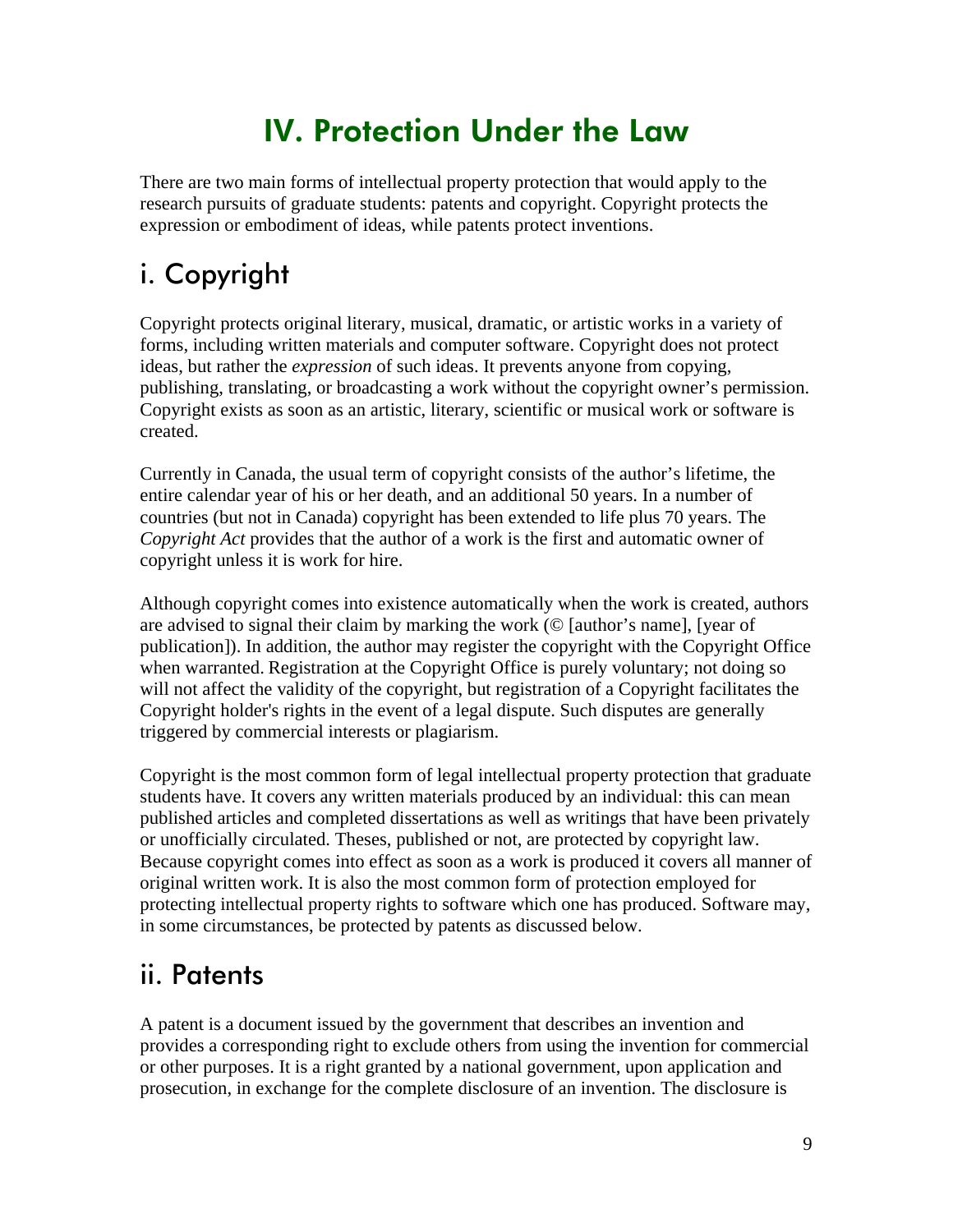### IV. Protection Under the Law

<span id="page-8-0"></span>There are two main forms of intellectual property protection that would apply to the research pursuits of graduate students: patents and copyright. Copyright protects the expression or embodiment of ideas, while patents protect inventions.

### i. Copyright

Copyright protects original literary, musical, dramatic, or artistic works in a variety of forms, including written materials and computer software. Copyright does not protect ideas, but rather the *expression* of such ideas. It prevents anyone from copying, publishing, translating, or broadcasting a work without the copyright owner's permission. Copyright exists as soon as an artistic, literary, scientific or musical work or software is created.

Currently in Canada, the usual term of copyright consists of the author's lifetime, the entire calendar year of his or her death, and an additional 50 years. In a number of countries (but not in Canada) copyright has been extended to life plus 70 years. The *Copyright Act* provides that the author of a work is the first and automatic owner of copyright unless it is work for hire.

Although copyright comes into existence automatically when the work is created, authors are advised to signal their claim by marking the work (© [author's name], [year of publication]). In addition, the author may register the copyright with the Copyright Office when warranted. Registration at the Copyright Office is purely voluntary; not doing so will not affect the validity of the copyright, but registration of a Copyright facilitates the Copyright holder's rights in the event of a legal dispute. Such disputes are generally triggered by commercial interests or plagiarism.

Copyright is the most common form of legal intellectual property protection that graduate students have. It covers any written materials produced by an individual: this can mean published articles and completed dissertations as well as writings that have been privately or unofficially circulated. Theses, published or not, are protected by copyright law. Because copyright comes into effect as soon as a work is produced it covers all manner of original written work. It is also the most common form of protection employed for protecting intellectual property rights to software which one has produced. Software may, in some circumstances, be protected by patents as discussed below.

#### ii. Patents

A patent is a document issued by the government that describes an invention and provides a corresponding right to exclude others from using the invention for commercial or other purposes. It is a right granted by a national government, upon application and prosecution, in exchange for the complete disclosure of an invention. The disclosure is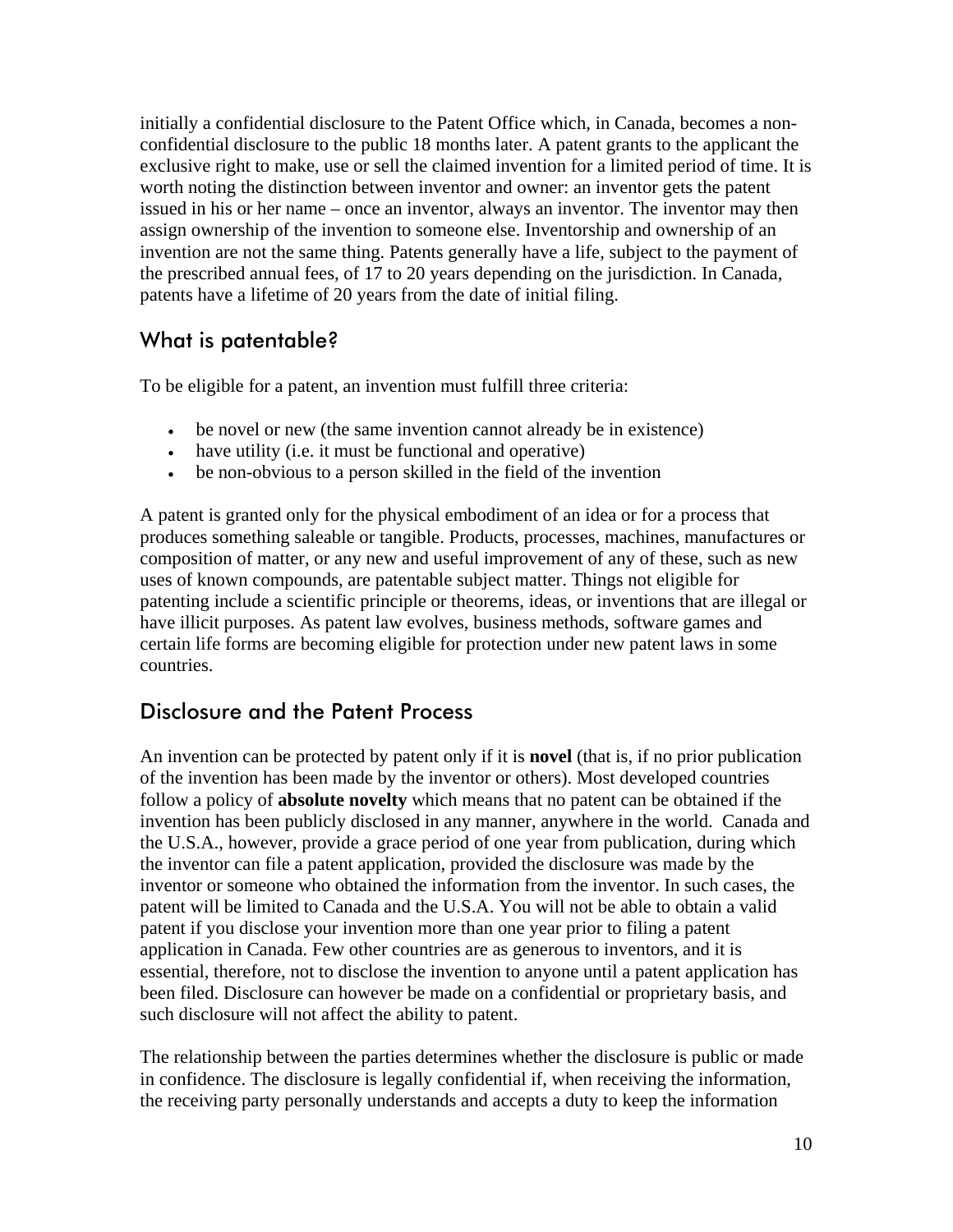initially a confidential disclosure to the Patent Office which, in Canada, becomes a nonconfidential disclosure to the public 18 months later. A patent grants to the applicant the exclusive right to make, use or sell the claimed invention for a limited period of time. It is worth noting the distinction between inventor and owner: an inventor gets the patent issued in his or her name – once an inventor, always an inventor. The inventor may then assign ownership of the invention to someone else. Inventorship and ownership of an invention are not the same thing. Patents generally have a life, subject to the payment of the prescribed annual fees, of 17 to 20 years depending on the jurisdiction. In Canada, patents have a lifetime of 20 years from the date of initial filing.

#### What is patentable?

To be eligible for a patent, an invention must fulfill three criteria:

- be novel or new (the same invention cannot already be in existence)
- have utility (i.e. it must be functional and operative)
- be non-obvious to a person skilled in the field of the invention

A patent is granted only for the physical embodiment of an idea or for a process that produces something saleable or tangible. Products, processes, machines, manufactures or composition of matter, or any new and useful improvement of any of these, such as new uses of known compounds, are patentable subject matter. Things not eligible for patenting include a scientific principle or theorems, ideas, or inventions that are illegal or have illicit purposes. As patent law evolves, business methods, software games and certain life forms are becoming eligible for protection under new patent laws in some countries.

#### Disclosure and the Patent Process

An invention can be protected by patent only if it is **novel** (that is, if no prior publication of the invention has been made by the inventor or others). Most developed countries follow a policy of **absolute novelty** which means that no patent can be obtained if the invention has been publicly disclosed in any manner, anywhere in the world. Canada and the U.S.A., however, provide a grace period of one year from publication, during which the inventor can file a patent application, provided the disclosure was made by the inventor or someone who obtained the information from the inventor. In such cases, the patent will be limited to Canada and the U.S.A. You will not be able to obtain a valid patent if you disclose your invention more than one year prior to filing a patent application in Canada. Few other countries are as generous to inventors, and it is essential, therefore, not to disclose the invention to anyone until a patent application has been filed. Disclosure can however be made on a confidential or proprietary basis, and such disclosure will not affect the ability to patent.

The relationship between the parties determines whether the disclosure is public or made in confidence. The disclosure is legally confidential if, when receiving the information, the receiving party personally understands and accepts a duty to keep the information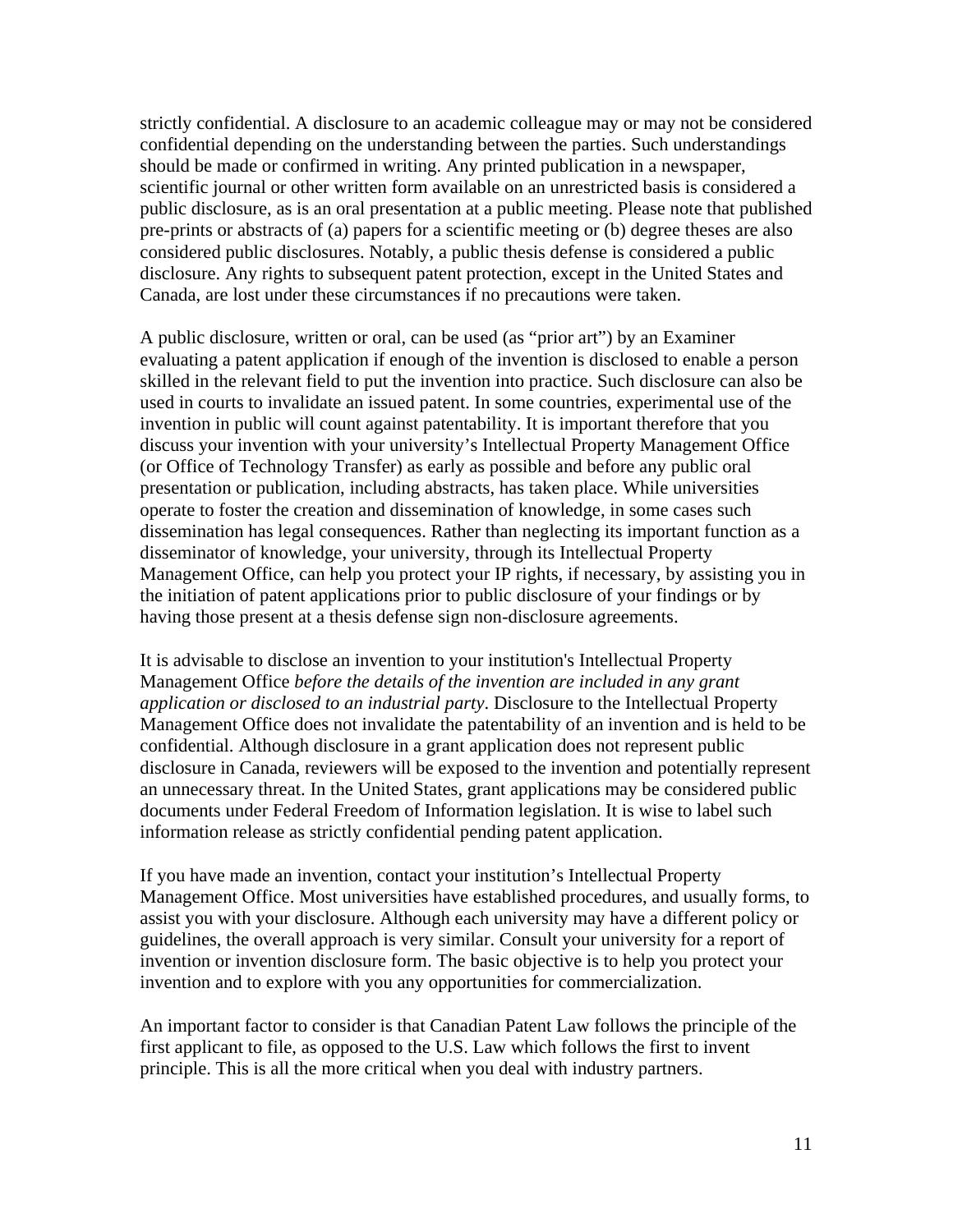strictly confidential. A disclosure to an academic colleague may or may not be considered confidential depending on the understanding between the parties. Such understandings should be made or confirmed in writing. Any printed publication in a newspaper, scientific journal or other written form available on an unrestricted basis is considered a public disclosure, as is an oral presentation at a public meeting. Please note that published pre-prints or abstracts of (a) papers for a scientific meeting or (b) degree theses are also considered public disclosures. Notably, a public thesis defense is considered a public disclosure. Any rights to subsequent patent protection, except in the United States and Canada, are lost under these circumstances if no precautions were taken.

A public disclosure, written or oral, can be used (as "prior art") by an Examiner evaluating a patent application if enough of the invention is disclosed to enable a person skilled in the relevant field to put the invention into practice. Such disclosure can also be used in courts to invalidate an issued patent. In some countries, experimental use of the invention in public will count against patentability. It is important therefore that you discuss your invention with your university's Intellectual Property Management Office (or Office of Technology Transfer) as early as possible and before any public oral presentation or publication, including abstracts, has taken place. While universities operate to foster the creation and dissemination of knowledge, in some cases such dissemination has legal consequences. Rather than neglecting its important function as a disseminator of knowledge, your university, through its Intellectual Property Management Office, can help you protect your IP rights, if necessary, by assisting you in the initiation of patent applications prior to public disclosure of your findings or by having those present at a thesis defense sign non-disclosure agreements.

It is advisable to disclose an invention to your institution's Intellectual Property Management Office *before the details of the invention are included in any grant application or disclosed to an industrial party*. Disclosure to the Intellectual Property Management Office does not invalidate the patentability of an invention and is held to be confidential. Although disclosure in a grant application does not represent public disclosure in Canada, reviewers will be exposed to the invention and potentially represent an unnecessary threat. In the United States, grant applications may be considered public documents under Federal Freedom of Information legislation. It is wise to label such information release as strictly confidential pending patent application.

If you have made an invention, contact your institution's Intellectual Property Management Office. Most universities have established procedures, and usually forms, to assist you with your disclosure. Although each university may have a different policy or guidelines, the overall approach is very similar. Consult your university for a report of invention or invention disclosure form. The basic objective is to help you protect your invention and to explore with you any opportunities for commercialization.

An important factor to consider is that Canadian Patent Law follows the principle of the first applicant to file, as opposed to the U.S. Law which follows the first to invent principle. This is all the more critical when you deal with industry partners.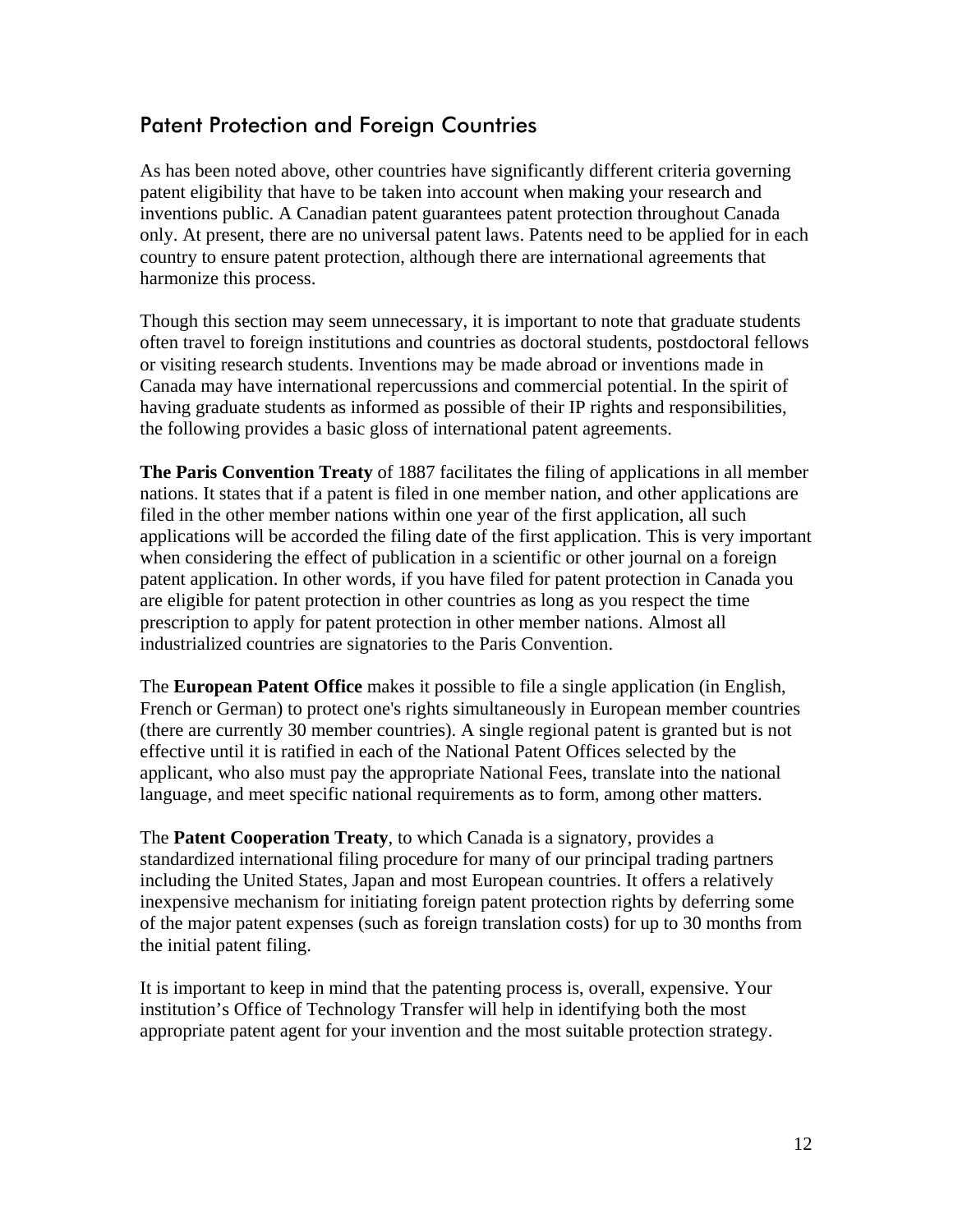#### Patent Protection and Foreign Countries

As has been noted above, other countries have significantly different criteria governing patent eligibility that have to be taken into account when making your research and inventions public. A Canadian patent guarantees patent protection throughout Canada only. At present, there are no universal patent laws. Patents need to be applied for in each country to ensure patent protection, although there are international agreements that harmonize this process.

Though this section may seem unnecessary, it is important to note that graduate students often travel to foreign institutions and countries as doctoral students, postdoctoral fellows or visiting research students. Inventions may be made abroad or inventions made in Canada may have international repercussions and commercial potential. In the spirit of having graduate students as informed as possible of their IP rights and responsibilities, the following provides a basic gloss of international patent agreements.

**The Paris Convention Treaty** of 1887 facilitates the filing of applications in all member nations. It states that if a patent is filed in one member nation, and other applications are filed in the other member nations within one year of the first application, all such applications will be accorded the filing date of the first application. This is very important when considering the effect of publication in a scientific or other journal on a foreign patent application. In other words, if you have filed for patent protection in Canada you are eligible for patent protection in other countries as long as you respect the time prescription to apply for patent protection in other member nations. Almost all industrialized countries are signatories to the Paris Convention.

The **European Patent Office** makes it possible to file a single application (in English, French or German) to protect one's rights simultaneously in European member countries (there are currently 30 member countries). A single regional patent is granted but is not effective until it is ratified in each of the National Patent Offices selected by the applicant, who also must pay the appropriate National Fees, translate into the national language, and meet specific national requirements as to form, among other matters.

The **Patent Cooperation Treaty**, to which Canada is a signatory, provides a standardized international filing procedure for many of our principal trading partners including the United States, Japan and most European countries. It offers a relatively inexpensive mechanism for initiating foreign patent protection rights by deferring some of the major patent expenses (such as foreign translation costs) for up to 30 months from the initial patent filing.

It is important to keep in mind that the patenting process is, overall, expensive. Your institution's Office of Technology Transfer will help in identifying both the most appropriate patent agent for your invention and the most suitable protection strategy.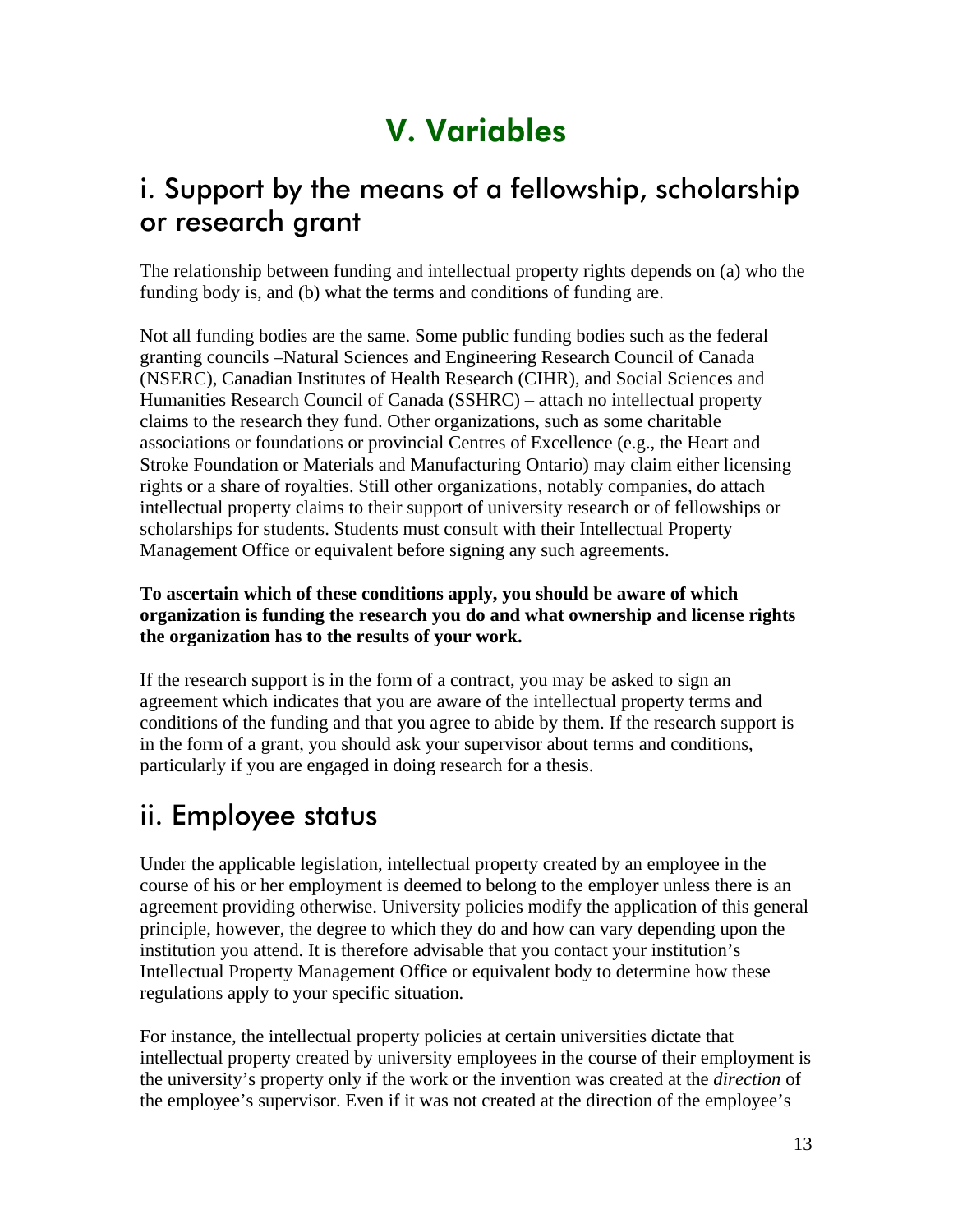### V. Variables

#### <span id="page-12-0"></span>i. Support by the means of a fellowship, scholarship or research grant

The relationship between funding and intellectual property rights depends on (a) who the funding body is, and (b) what the terms and conditions of funding are.

Not all funding bodies are the same. Some public funding bodies such as the federal granting councils –Natural Sciences and Engineering Research Council of Canada (NSERC), Canadian Institutes of Health Research (CIHR), and Social Sciences and Humanities Research Council of Canada (SSHRC) – attach no intellectual property claims to the research they fund. Other organizations, such as some charitable associations or foundations or provincial Centres of Excellence (e.g., the Heart and Stroke Foundation or Materials and Manufacturing Ontario) may claim either licensing rights or a share of royalties. Still other organizations, notably companies, do attach intellectual property claims to their support of university research or of fellowships or scholarships for students. Students must consult with their Intellectual Property Management Office or equivalent before signing any such agreements.

**To ascertain which of these conditions apply, you should be aware of which organization is funding the research you do and what ownership and license rights the organization has to the results of your work.** 

If the research support is in the form of a contract, you may be asked to sign an agreement which indicates that you are aware of the intellectual property terms and conditions of the funding and that you agree to abide by them. If the research support is in the form of a grant, you should ask your supervisor about terms and conditions, particularly if you are engaged in doing research for a thesis.

#### ii. Employee status

Under the applicable legislation, intellectual property created by an employee in the course of his or her employment is deemed to belong to the employer unless there is an agreement providing otherwise. University policies modify the application of this general principle, however, the degree to which they do and how can vary depending upon the institution you attend. It is therefore advisable that you contact your institution's Intellectual Property Management Office or equivalent body to determine how these regulations apply to your specific situation.

For instance, the intellectual property policies at certain universities dictate that intellectual property created by university employees in the course of their employment is the university's property only if the work or the invention was created at the *direction* of the employee's supervisor. Even if it was not created at the direction of the employee's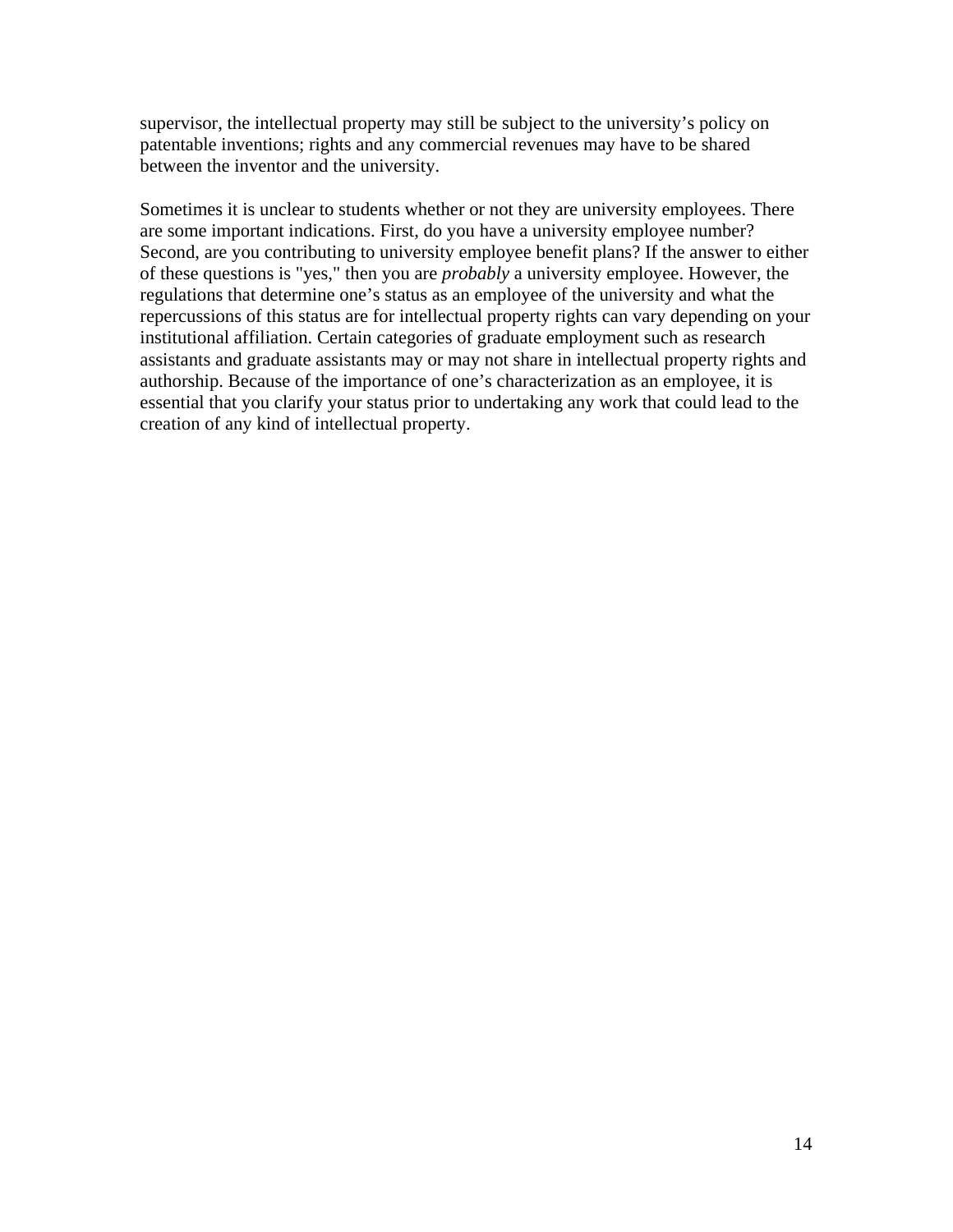supervisor, the intellectual property may still be subject to the university's policy on patentable inventions; rights and any commercial revenues may have to be shared between the inventor and the university.

Sometimes it is unclear to students whether or not they are university employees. There are some important indications. First, do you have a university employee number? Second, are you contributing to university employee benefit plans? If the answer to either of these questions is "yes," then you are *probably* a university employee. However, the regulations that determine one's status as an employee of the university and what the repercussions of this status are for intellectual property rights can vary depending on your institutional affiliation. Certain categories of graduate employment such as research assistants and graduate assistants may or may not share in intellectual property rights and authorship. Because of the importance of one's characterization as an employee, it is essential that you clarify your status prior to undertaking any work that could lead to the creation of any kind of intellectual property.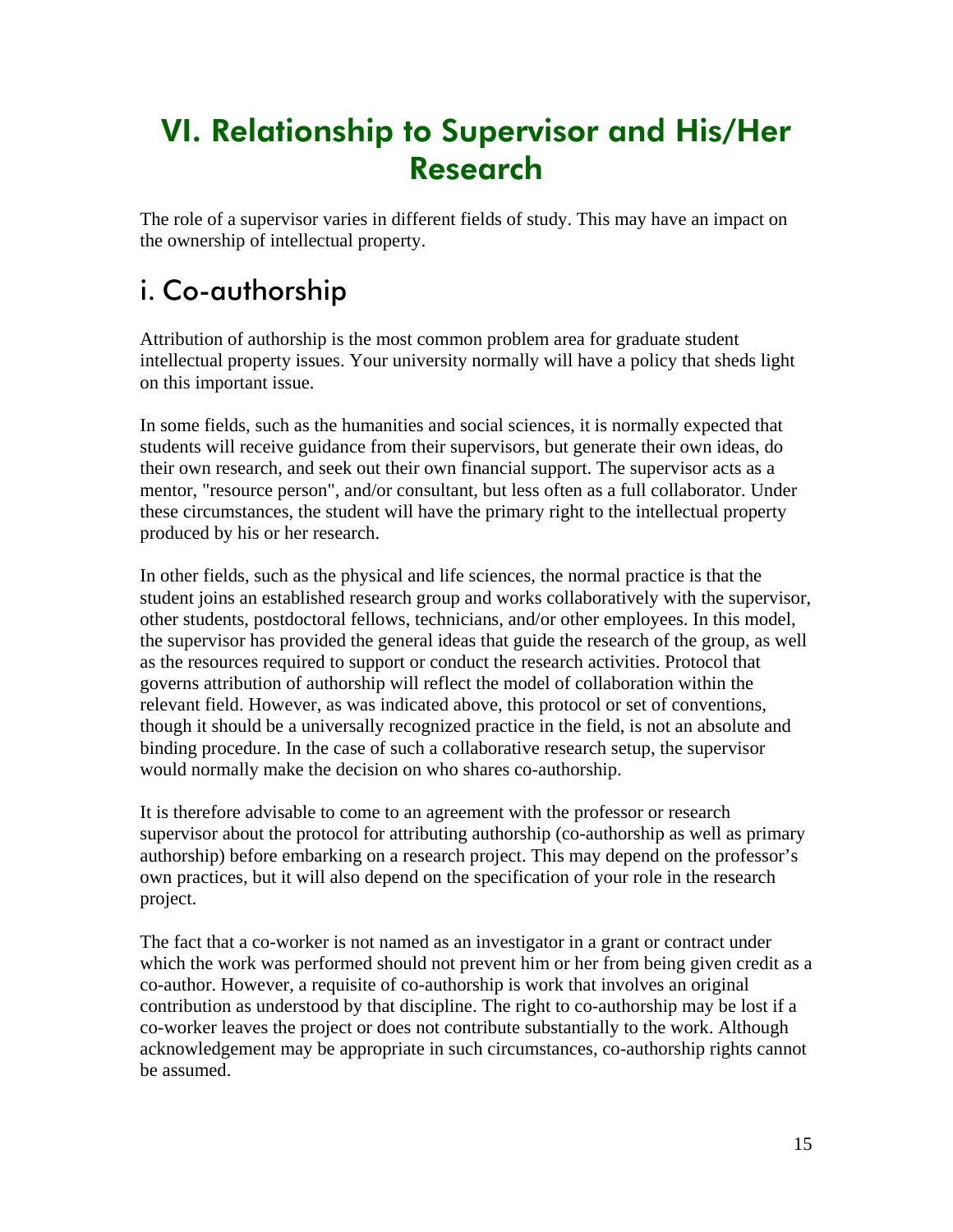### <span id="page-14-0"></span>VI. Relationship to Supervisor and His/Her Research

The role of a supervisor varies in different fields of study. This may have an impact on the ownership of intellectual property.

#### i. Co-authorship

Attribution of authorship is the most common problem area for graduate student intellectual property issues. Your university normally will have a policy that sheds light on this important issue.

In some fields, such as the humanities and social sciences, it is normally expected that students will receive guidance from their supervisors, but generate their own ideas, do their own research, and seek out their own financial support. The supervisor acts as a mentor, "resource person", and/or consultant, but less often as a full collaborator. Under these circumstances, the student will have the primary right to the intellectual property produced by his or her research.

In other fields, such as the physical and life sciences, the normal practice is that the student joins an established research group and works collaboratively with the supervisor, other students, postdoctoral fellows, technicians, and/or other employees. In this model, the supervisor has provided the general ideas that guide the research of the group, as well as the resources required to support or conduct the research activities. Protocol that governs attribution of authorship will reflect the model of collaboration within the relevant field. However, as was indicated above, this protocol or set of conventions, though it should be a universally recognized practice in the field, is not an absolute and binding procedure. In the case of such a collaborative research setup, the supervisor would normally make the decision on who shares co-authorship.

It is therefore advisable to come to an agreement with the professor or research supervisor about the protocol for attributing authorship (co-authorship as well as primary authorship) before embarking on a research project. This may depend on the professor's own practices, but it will also depend on the specification of your role in the research project.

The fact that a co-worker is not named as an investigator in a grant or contract under which the work was performed should not prevent him or her from being given credit as a co-author. However, a requisite of co-authorship is work that involves an original contribution as understood by that discipline. The right to co-authorship may be lost if a co-worker leaves the project or does not contribute substantially to the work. Although acknowledgement may be appropriate in such circumstances, co-authorship rights cannot be assumed.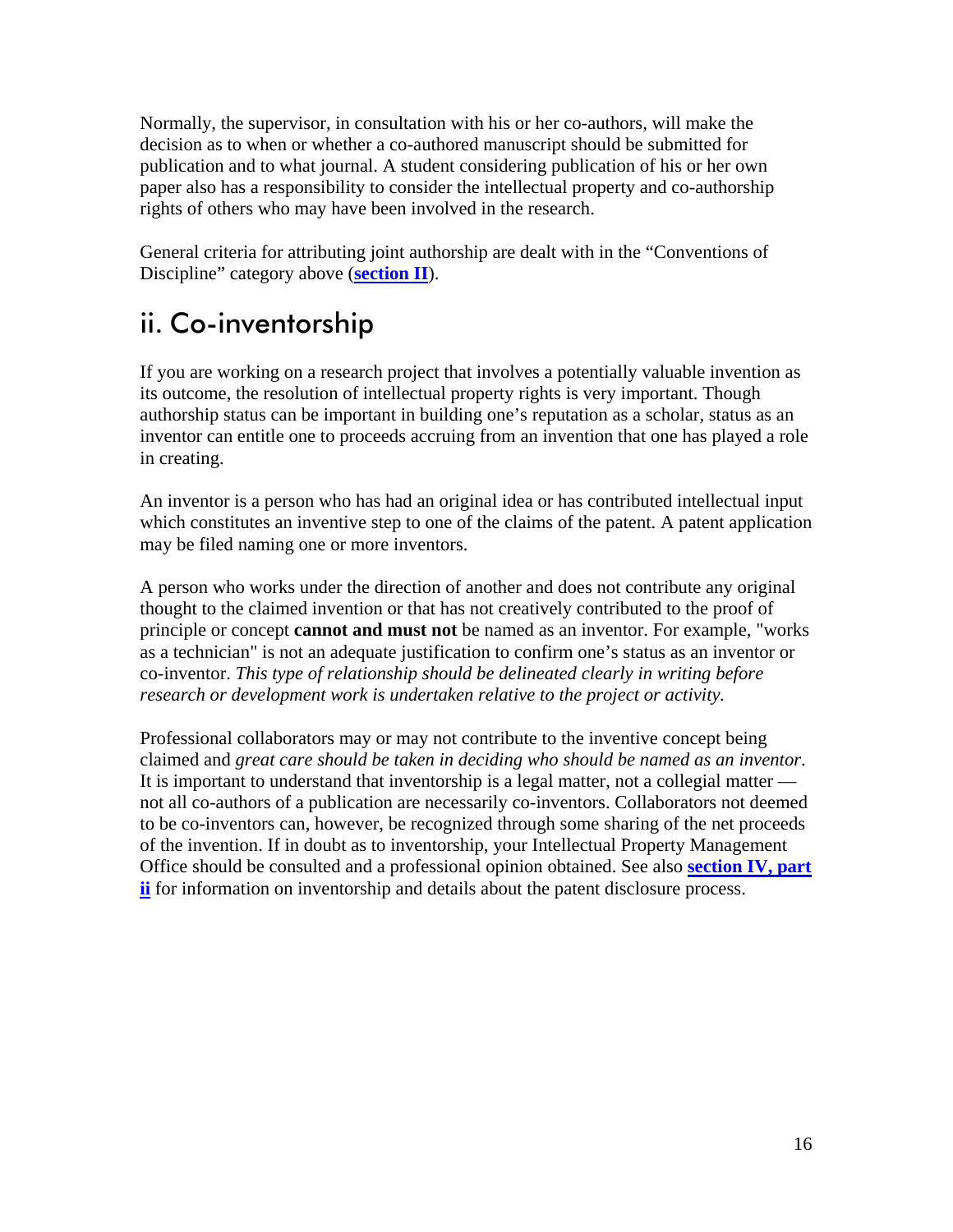<span id="page-15-0"></span>Normally, the supervisor, in consultation with his or her co-authors, will make the decision as to when or whether a co-authored manuscript should be submitted for publication and to what journal. A student considering publication of his or her own paper also has a responsibility to consider the intellectual property and co-authorship rights of others who may have been involved in the research.

General criteria for attributing joint authorship are dealt with in the "Conventions of Discipline" category above (**[section II](#page-5-0)**).

#### ii. Co-inventorship

If you are working on a research project that involves a potentially valuable invention as its outcome, the resolution of intellectual property rights is very important. Though authorship status can be important in building one's reputation as a scholar, status as an inventor can entitle one to proceeds accruing from an invention that one has played a role in creating.

An inventor is a person who has had an original idea or has contributed intellectual input which constitutes an inventive step to one of the claims of the patent. A patent application may be filed naming one or more inventors.

A person who works under the direction of another and does not contribute any original thought to the claimed invention or that has not creatively contributed to the proof of principle or concept **cannot and must not** be named as an inventor. For example, "works as a technician" is not an adequate justification to confirm one's status as an inventor or co-inventor. *This type of relationship should be delineated clearly in writing before research or development work is undertaken relative to the project or activity.*

Professional collaborators may or may not contribute to the inventive concept being claimed and *great care should be taken in deciding who should be named as an inventor*. It is important to understand that inventorship is a legal matter, not a collegial matter not all co-authors of a publication are necessarily co-inventors. Collaborators not deemed to be co-inventors can, however, be recognized through some sharing of the net proceeds of the invention. If in doubt as to inventorship, your Intellectual Property Management Office should be consulted and a professional opinion obtained. See also **[section IV, part](#page-8-0) [ii](#page-8-0)** for information on inventorship and details about the patent disclosure process.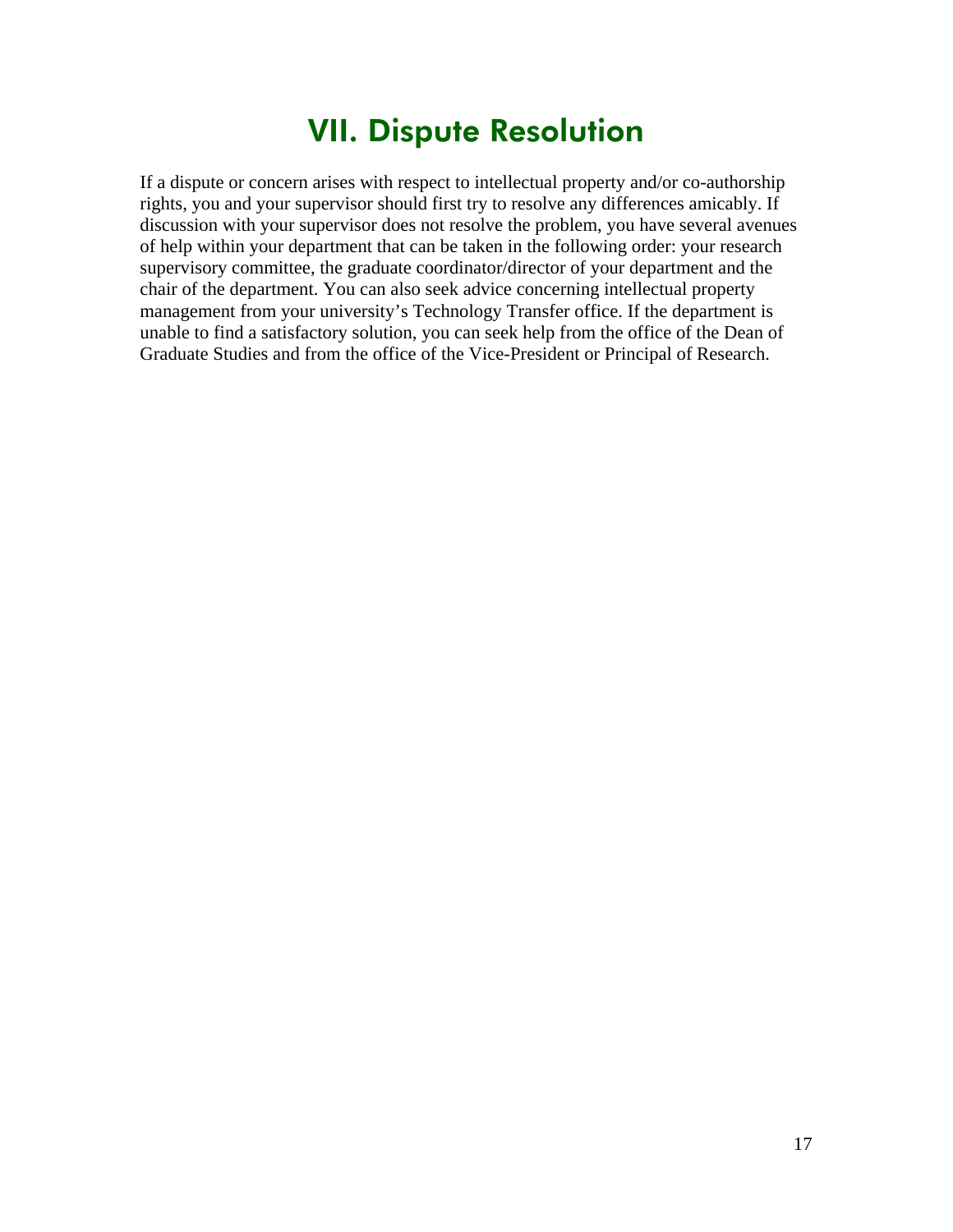#### VII. Dispute Resolution

<span id="page-16-0"></span>If a dispute or concern arises with respect to intellectual property and/or co-authorship rights, you and your supervisor should first try to resolve any differences amicably. If discussion with your supervisor does not resolve the problem, you have several avenues of help within your department that can be taken in the following order: your research supervisory committee, the graduate coordinator/director of your department and the chair of the department. You can also seek advice concerning intellectual property management from your university's Technology Transfer office. If the department is unable to find a satisfactory solution, you can seek help from the office of the Dean of Graduate Studies and from the office of the Vice-President or Principal of Research.